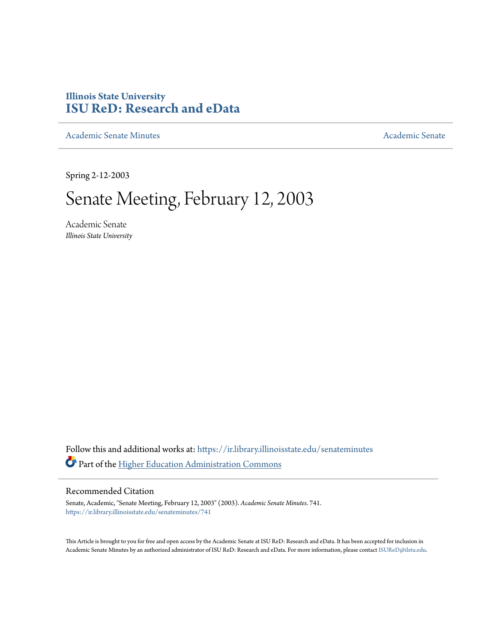## **Illinois State University [ISU ReD: Research and eData](https://ir.library.illinoisstate.edu?utm_source=ir.library.illinoisstate.edu%2Fsenateminutes%2F741&utm_medium=PDF&utm_campaign=PDFCoverPages)**

[Academic Senate Minutes](https://ir.library.illinoisstate.edu/senateminutes?utm_source=ir.library.illinoisstate.edu%2Fsenateminutes%2F741&utm_medium=PDF&utm_campaign=PDFCoverPages) [Academic Senate](https://ir.library.illinoisstate.edu/senate?utm_source=ir.library.illinoisstate.edu%2Fsenateminutes%2F741&utm_medium=PDF&utm_campaign=PDFCoverPages) Academic Senate

Spring 2-12-2003

# Senate Meeting, February 12, 2003

Academic Senate *Illinois State University*

Follow this and additional works at: [https://ir.library.illinoisstate.edu/senateminutes](https://ir.library.illinoisstate.edu/senateminutes?utm_source=ir.library.illinoisstate.edu%2Fsenateminutes%2F741&utm_medium=PDF&utm_campaign=PDFCoverPages) Part of the [Higher Education Administration Commons](http://network.bepress.com/hgg/discipline/791?utm_source=ir.library.illinoisstate.edu%2Fsenateminutes%2F741&utm_medium=PDF&utm_campaign=PDFCoverPages)

#### Recommended Citation

Senate, Academic, "Senate Meeting, February 12, 2003" (2003). *Academic Senate Minutes*. 741. [https://ir.library.illinoisstate.edu/senateminutes/741](https://ir.library.illinoisstate.edu/senateminutes/741?utm_source=ir.library.illinoisstate.edu%2Fsenateminutes%2F741&utm_medium=PDF&utm_campaign=PDFCoverPages)

This Article is brought to you for free and open access by the Academic Senate at ISU ReD: Research and eData. It has been accepted for inclusion in Academic Senate Minutes by an authorized administrator of ISU ReD: Research and eData. For more information, please contact [ISUReD@ilstu.edu.](mailto:ISUReD@ilstu.edu)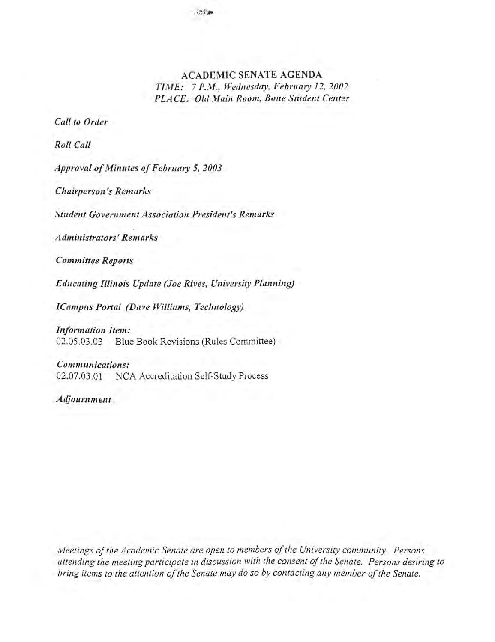#### ACADEMIC SENATE AGENDA *TlJHE:* 7 *P.M., Wedllesday, February* 12, *2002*  **PLACE: Old Main Room, Bone Student Center**

*Call to Order* 

*Roll Call* 

*Approval of Minutes of February 5,2003* 

*Chairperson's Remarks* 

*Student Government Association President's Remarks* 

*Administrators' Remarks* 

*Committee Reports* 

*Educating Illinois Update (Joe Rives, University Planning)* 

*ICampus Portal (Dave Williams, Technology)* 

*Information Item:*  02.05.03.03 Blue Book Revisions (Rules Committee)

*Communications:*  02.07.03.01 NCA Accreditation Self-Study Process

*Adjournment* 

*Meetings of the Academic Senate are open to members of the University community. Persons*  attending the meeting participate in discussion with the consent of the Senate. Persons desiring to *bring items to the attention of the Senate may do so by contacting any member of the Senate.*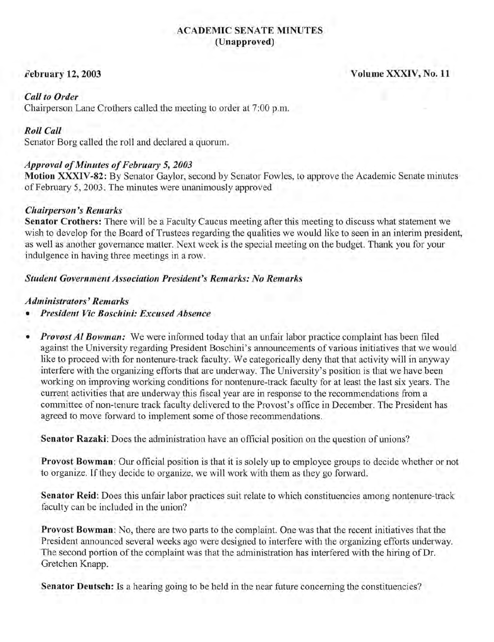#### ACADEMIC SENATE MINUTES (Unapproved)

#### February 12, 2003

Volume XXXIV, No. 11

#### *Call to Order*

Chairperson Lane Crothers called the meeting to order at 7:00 p.m.

#### *Roll Call*

Senator Borg called the roll and declared a quorum.

#### *Approval of Minutes of February* 5, *2003*

Motion XXXIV-82: By Senator Gaylor, second by Senator Fowles, to approve the Academic Senate minutes of February 5, 2003. The minutes were unanimously approved

#### *Chairperson's Remarks*

Senator Crothers: There will be a Faculty Caucus meeting after this meeting to discuss what statement we wish to develop for the Board of Trustees regarding the qualities we would like to seen in an interim president, as well as another governance matter. Next week is the special meeting on the budget. Thank you for your indulgence in having three meetings in a row.

#### *Student Government Association President's Remarks: No Remarks*

#### *Administrators'Remarks*

- *President Vic Boschini: Excused Absence*
- *Provost Al Bowman:* We were informed today that an unfair labor practice complaint has been filed against the University regarding President Boschini's announcements of various initiatives that we would like to proceed with for nontenure-track faculty. We categorically deny that that activity will in anyway interfere with the organizing efforts that are underway. The University's position is that we have been working on improving working conditions for nontenure-track faculty for at least the last six years. The current activities that are underway this fiscal year are in response to the recommendations from a committee of non-tenure track faculty delivered to the Provost's office in December. The President has agreed to move forward to implement some of those recommendations.

Senator Razaki: Does the administration have an official position on the question of unions?

Provost Bowman: Our official position is that it is solely up to employee groups to decide whether or not to organize. If they decide to organize, we will work with them as they go forward.

Senator Reid: Does this unfair labor practices suit relate to which constituencies among nontenure-track faculty can be included in the union?

Provost Bowman: No, there are two parts to the complaint. One was that the recent initiatives that the President announced several weeks ago were designed to interfere with the organizing efforts underway. The second portion of the complaint was that the administration has interfered with the hiring of Dr. Gretchen Knapp.

Senator Deutsch: Is a hearing going to be held in the near future concerning the constituencies?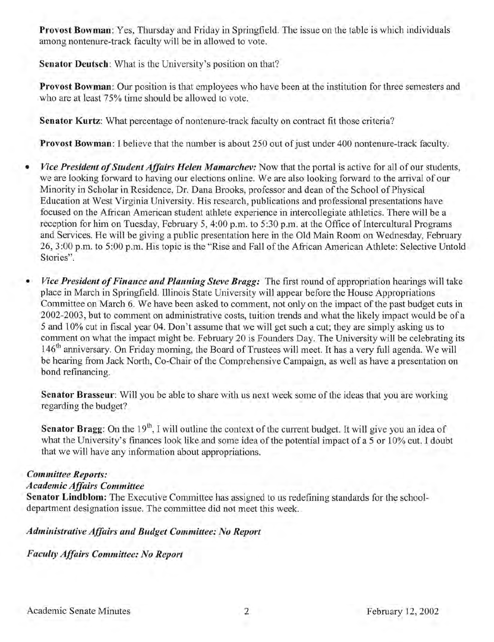Provost Bowman: Yes, Thursday and Friday in Springfield. The issue on the table is which individuals among nontenure-track faculty will be in allowed to vote.

Senator Deutsch: What is the University's position on that?

Provost Bowman: Our position is that employees who have been at the institution for three semesters and who are at least 75% time should be allowed to vote.

Senator Kurtz: What percentage of nontenure-track faculty on contract fit those criteria?

Provost Bowman: I believe that the number is about 250 out of just under 400 nontenure-track faculty.

- *Vice President of Student Affairs Helen Mamarchev:* Now that the portal is active for all of our students, we are looking forward to having our elections online. We are also looking forward to the arrival of our Minority in Scholar in Residence, Dr. Dana Brooks, professor and dean of the School of Physical Education at West Virginia University. His research, publications and professional presentations have focused on the African American student athlete experience in intercollegiate athletics. There will be a reception for him on Tuesday, February 5, 4:00 p.m. to 5:30 p.m. at the Office of Intercultural Programs and Services. He will be giving a public presentation here in the Old Main Room on Wednesday, February 26, 3 :00 p.m. to 5 :00 p.m. His topic is the "Rise and Fall of the African American Athlete: Selective Untold Stories".
- *Vice President of Finance and Planning Steve Bragg:* The first round of appropriation hearings will take place in March in Springfield. Illinois State University will appear before the House Appropriations Committee on March 6. We have been asked to comment, not only on the impact of the past budget cuts in 2002-2003, but to comment on administrative costs, tuition trends and what the likely impact would be of a 5 and 10% cut in fiscal year 04. Don't assume that we will get such a cut; they are simply asking us to comment on what the impact might be. February 20 is Founders Day. The University will be celebrating its 146<sup>th</sup> anniversary. On Friday morning, the Board of Trustees will meet. It has a very full agenda. We will be hearing from Jack North, Co-Chair of the Comprehensive Campaign, as well as have a presentation on bond refinancing.

Senator Brasseur: Will you be able to share with us next week some of the ideas that you are working regarding the budget?

**Senator Bragg:** On the  $19<sup>th</sup>$ , I will outline the context of the current budget. It will give you an idea of what the University's finances look like and some idea of the potential impact of a 5 or 10% cut. I doubt that we will have any information about appropriations.

### *Committee Reports:*

#### *Academic Affairs Committee*

Senator Lindblom: The Executive Committee has assigned to us redefining standards for the schooldepartment designation issue. The committee did not meet this week.

### *Administrative Affairs and Budget Committee: No Report*

*Faculty Affairs Committee: No Report*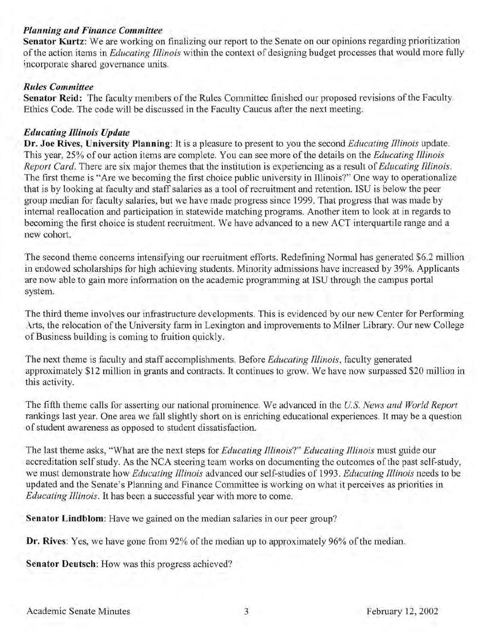#### *Planning and Finance Committee*

Senator Kurtz: We are working on finalizing our report to the Senate on our opinions regarding prioritization of the action items in *Educating Illinois* within the context of designing budget processes that would more fully incorporate shared governance units.

#### *Rules Committee*

Senator Reid: The faculty members of the Rules Committee finished our proposed revisions of the Faculty Ethics Code. The code will be discussed in the Faculty Caucus after the next meeting.

#### *Educating Illinois Update*

Dr. Joe Rives, University Planning: It is a pleasure to present to you the second *Educating Illinois* update. This year, 25% of our action items are complete. You can see more of the details on the *Educating Illinois Report Card.* There are six major themes that the institution is experiencing as a result of *Educating Illinois.*  The first theme is "Are we becoming the first choice public university in Illinois?" One way to operationalize that is by looking at faculty and staff salaries as a tool of recruitment and retention. ISU is below the peer group median for faculty salaries, but we have made progress since 1999. That progress that was made by internal reallocation and participation in statewide matching programs. Another item to look at in regards to becoming the first choice is student recruitment. We have advanced to a new ACT interquartile range and a new cohort.

The second theme concerns intensifying our recruitment efforts. Redefining Normal has generated \$6.2 million in endowed scholarships for high achieving students. Minority admissions have increased by 39%. Applicants are now able to gain more information on the academic programming at ISU through the campus portal system.

The third theme involves our infrastructure developments. This is evidenced by our new Center for Performing Arts, the relocation of the University farm in Lexington and improvements to Milner Library. Our new College of Business building is coming to fruition quickly.

The next theme is faculty and staff accomplishments. Before *Educating Illinois,* faculty generated approximately \$12 million in grants and contracts. It continues to grow. We have now surpassed \$20 million in this activity.

The fifth theme calls for asserting our national prominence. We advanced in the *u.s. News and World Report*  rankings last year. One area we fall slightly short on is enriching educational experiences. It may be a question of student awareness as opposed to student dissatisfaction.

The last theme asks, "What are the next steps for *Educating Illinois?" Educating Illinois* must guide our accreditation self study. As the NCA steering team works on documenting the outcomes of the past self-study, we must demonstrate how *Educating Illinois* advanced our self-studies of 1993. *Educating Illinois* needs to be updated and the Senate's Planning and Finance Committee is working on what it perceives as priorities in *Educating Illinois.* It has been a successful year with more to come.

Senator Lindblom: Have we gained on the median salaries in our peer group?

**Dr. Rives:** Yes, we have gone from 92% of the median up to approximately 96% of the median.

Senator Deutsch: How was this progress achieved?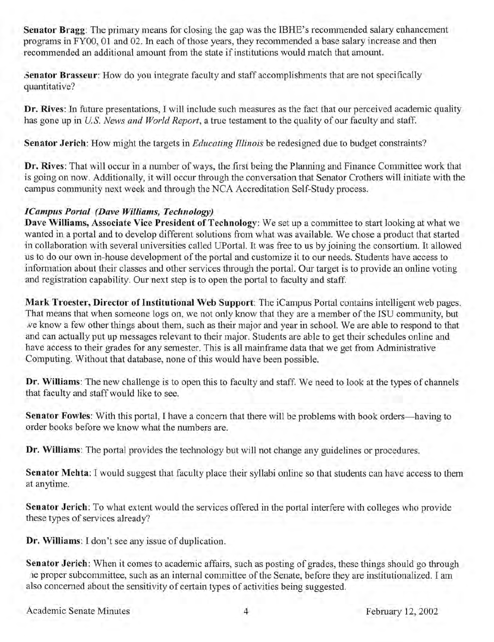**Senator Bragg:** The primary means for closing the gap was the IBHE's recommended salary enhancement programs in FYOO, 01 and 02. In each of those years, they recommended a base salary increase and then recommended an additional amount from the state if institutions would match that amount.

**3enator Brasseur:** How do you integrate faculty and staff accomplishments that are not specifically quantitative?

**Dr. Rives:** In future presentations, I will include such measures as the fact that our perceived academic quality has gone up in *U.S. News and World Report*, a true testament to the quality of our faculty and staff.

**Senator Jerich:** How might the targets in *Educating Illinois* be redesigned due to budget constraints?

**Dr.** Rives: That will occur in a number of ways, the first being the Planning and Finance Committee work that is going on now. Additionally, it will occur through the conversation that Senator Crothers will initiate with the campus community next week and through the NCA Accreditation Self-Study process.

#### *[Campus Portal (Dave Williams, Technology)*

**Dave Williams, Associate Vice President** of Technology: We set up a committee to start looking at what we wanted in a portal and to develop different solutions from what was available. We chose a product that started in collaboration with several universities called UPortal. It was free to us by joining the consortium. It allowed us to do our own in-house development of the portal and customize it to our needs. Students have access to information about their classes and other services through the portal. Our target is to provide an online voting and registration capability. Our next step is to open the portal to faculty and staff.

Mark Troester, Director of Institutional Web Support: The iCampus Portal contains intelligent web pages. That means that when someone logs on, we not only know that they are a member of the ISU community, but Ne know a few other things about them, such as their major and year in school. We are able to respond to that and can actually put up messages relevant to their major. Students are able to get their schedules online and have access to their grades for any semester. This is all mainframe data that we get from Administrative Computing. Without that database, none of this would have been possible.

**Dr. Williams:** The new challenge is to open this to faculty and staff. We need to look at the types of channels that faculty and staff would like to see.

**Senator Fowles:** With this portal, I have a concern that there will be problems with book orders—having to order books before we know what the numbers are.

**Dr. Williams:** The portal provides the technology but will not change any guidelines or procedures.

Senator Mehta: I would suggest that faculty place their syllabi online so that students can have access to them at anytime.

**Senator Jerich:** To what extent would the services offered in the portal interfere with colleges who provide these types of services already?

**Dr. Williams:** I don't see any issue of duplication.

**Senator Jerich:** When it comes to academic affairs, such as posting of grades, these things should go through .Ie proper subcommittee, such as an internal committee of the Senate, before they are institutionalized. I am also concerned about the sensitivity of certain types of activities being suggested.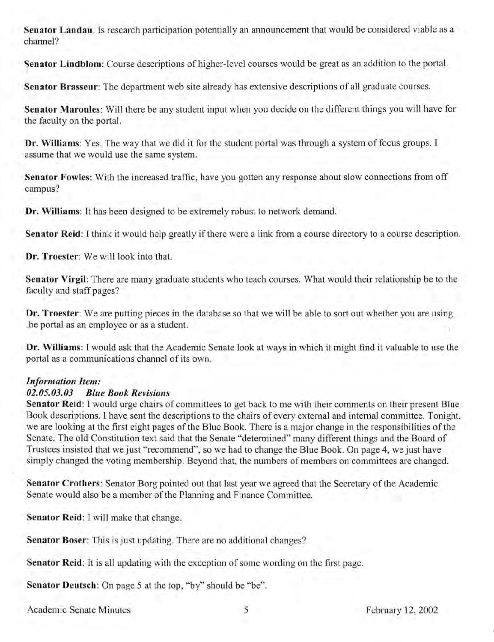**Senator Landau:** Is research participation potentially an announcement that would be considered viable as a channel?

**Senator Lindblom:** Course descriptions of higher-level courses would be great as an addition to the portal.

**Senator Brasseur:** The department web site already has extensive descriptions of all graduate courses.

**Senator Maroules:** Will there be any student input when you decide on the different things you will have for the faculty on the portal.

**Dr. Williams:** Yes. The way that we did it for the student portal was through a system of focus groups. I assume that we would use the same system.

**Senator Fowles:** With the increased traffic, have you gotten any response about slow connections from off campus?

**Dr. Williams:** It has been designed to be extremely robust to network demand.

**Senator Reid:** I think it would help greatly if there were a link from a course directory to a course description.

**Dr. Troester:** We will look into that.

**Senator Virgil:** There are many graduate students who teach courses. What would their relationship be to the faculty and staff pages?

**Ur. Troester:** We are putting pieces in the database so that we will be able to sort out whether you are using .he portal as an employee or as a student.

**Dr. Williams:** I would ask that the Academic Senate look at ways in which it might find it valuable to use the portal as a communications channel of its own.

#### *Information Item:*

#### *02.05.03.03 Blue Book Revisions*

**Senator Reid: I** would urge chairs of committees to get back to me with their comments on their present Blue Book descriptions. I have sent the descriptions to the chairs of every external and internal committee. Tonight, we are looking at the first eight pages of the Blue Book. There is a major change in the responsibilities of the Senate. The old Constitution text said that the Senate "determined" many different things and the Board of Trustees insisted that we just "recommend", so we had to change the Blue Book. On page 4, we just have simply changed the voting membership. Beyond that, the numbers of members on committees are changed.

**Senator Crothers:** Senator Borg pointed out that last year we agreed that the Secretary of the Academic Senate would also be a member of the Planning and Finance Committee.

**Senator Reid: I** will make that change.

**Senator Boser:** This is just updating. There are no additional changes?

**Senator Reid:** It is all updating with the exception of some wording on the first page.

**Senator Deutsch:** On page 5 at the top, "by" should be "be".

Academic Senate Minutes 5 5 February 12, 2002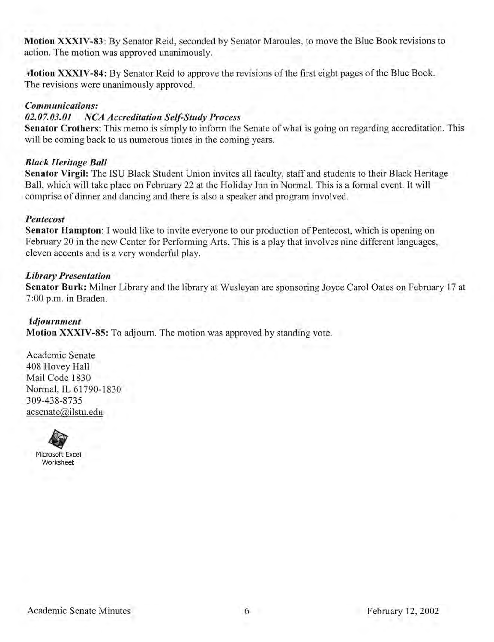Motion XXXIV-83: By Senator Reid, seconded by Senator Maroules, to move the Blue Book revisions to action. The motion was approved unanimously.

Motion XXXIV-84: By Senator Reid to approve the revisions of the first eight pages of the Blue Book. The revisions were unanimously approved.

#### *Communications:*

#### *02.07.03.01 NCA Accreditation Self-Study Process*

Senator Crothers: This memo is simply to inform the Senate of what is going on regarding accreditation. This will be coming back to us numerous times in the coming years.

#### *Black Heritage Ball*

Senator Virgil: The ISU Black Student Union invites all faculty, staff and students to their Black Heritage Ball, which will take place on February 22 at the Holiday Inn in Normal. This is a formal event. It will comprise of dinner and dancing and there is also a speaker and program involved.

#### *Pentecost*

Senator Hampton: I would like to invite everyone to our production of Pentecost, which is opening on February 20 in the new Center for Performing Arts. This is a play that involves nine different languages, eleven accents and is a very wonderful play.

#### *Library Presentation*

Senator Burk: Milner Library and the library at Wesleyan are sponsoring Joyce Carol Oates on February 17 at 7:00 p.m. in Braden.

#### *tdjournment*

Motion XXXIV-8S: To adjourn. The motion was approved by standing vote.

Academic Senate 408 Hovey Hall Mail Code 1830 Normal, IL 61790-1830 309-438-8735 acsenate@ilstu.edu